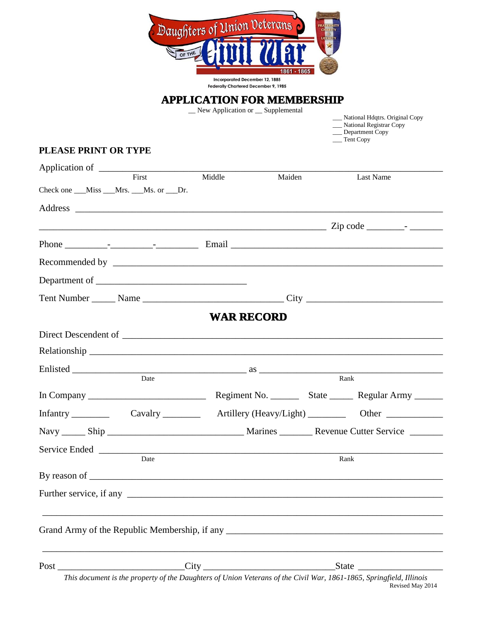

## **APPLICATION FOR MEMBERSHIP**

\_\_ New Application or \_\_ Supplemental

\_\_\_ National Hdqtrs. Original Copy

 \_\_\_ National Registrar Copy \_\_\_ Department Copy

\_\_\_ Tent Copy

## **PLEASE PRINT OR TYPE**

| Application of                                                                                                                                                                                                                 |                                                                                                                     |                   |        |      |                                                                |
|--------------------------------------------------------------------------------------------------------------------------------------------------------------------------------------------------------------------------------|---------------------------------------------------------------------------------------------------------------------|-------------------|--------|------|----------------------------------------------------------------|
|                                                                                                                                                                                                                                | First                                                                                                               | Middle            | Maiden |      | Last Name                                                      |
| Check one ___Miss ___Mrs. ___Ms. or ___Dr.                                                                                                                                                                                     |                                                                                                                     |                   |        |      |                                                                |
|                                                                                                                                                                                                                                |                                                                                                                     |                   |        |      |                                                                |
|                                                                                                                                                                                                                                |                                                                                                                     |                   |        |      |                                                                |
|                                                                                                                                                                                                                                |                                                                                                                     |                   |        |      |                                                                |
|                                                                                                                                                                                                                                |                                                                                                                     |                   |        |      |                                                                |
|                                                                                                                                                                                                                                |                                                                                                                     |                   |        |      |                                                                |
|                                                                                                                                                                                                                                |                                                                                                                     |                   |        |      |                                                                |
|                                                                                                                                                                                                                                |                                                                                                                     | <b>WAR RECORD</b> |        |      |                                                                |
|                                                                                                                                                                                                                                |                                                                                                                     |                   |        |      |                                                                |
|                                                                                                                                                                                                                                |                                                                                                                     |                   |        |      |                                                                |
|                                                                                                                                                                                                                                |                                                                                                                     |                   |        |      |                                                                |
|                                                                                                                                                                                                                                |                                                                                                                     |                   |        |      |                                                                |
|                                                                                                                                                                                                                                |                                                                                                                     |                   |        |      | Regiment No. __________ State __________ Regular Army ________ |
|                                                                                                                                                                                                                                |                                                                                                                     |                   |        |      |                                                                |
|                                                                                                                                                                                                                                |                                                                                                                     |                   |        |      |                                                                |
|                                                                                                                                                                                                                                |                                                                                                                     |                   |        |      |                                                                |
|                                                                                                                                                                                                                                | Date                                                                                                                |                   |        | Rank |                                                                |
|                                                                                                                                                                                                                                |                                                                                                                     |                   |        |      |                                                                |
|                                                                                                                                                                                                                                |                                                                                                                     |                   |        |      |                                                                |
|                                                                                                                                                                                                                                |                                                                                                                     |                   |        |      |                                                                |
|                                                                                                                                                                                                                                |                                                                                                                     |                   |        |      |                                                                |
| Post and the contract of the contract of the contract of the contract of the contract of the contract of the contract of the contract of the contract of the contract of the contract of the contract of the contract of the c |                                                                                                                     |                   |        |      |                                                                |
|                                                                                                                                                                                                                                | This document is the property of the Daughters of Union Veterans of the Civil War, 1861-1865, Springfield, Illinois |                   |        |      | Revised May 2014                                               |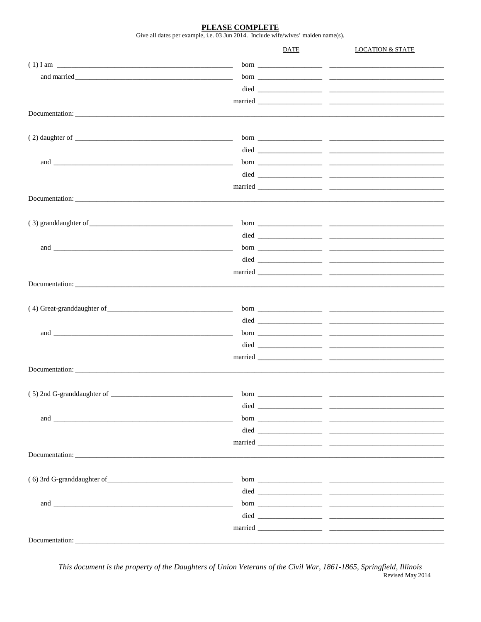PLEASE COMPLETE

Give all dates per example, i.e. 03 Jun 2014. Include wife/wives' maiden name(s).

|                            |      | DATE | <b>LOCATION &amp; STATE</b> |
|----------------------------|------|------|-----------------------------|
|                            |      |      |                             |
|                            |      |      |                             |
|                            |      |      |                             |
|                            |      |      |                             |
| Documentation:             |      |      |                             |
|                            |      |      |                             |
|                            |      |      |                             |
|                            |      |      |                             |
|                            |      |      |                             |
|                            |      |      |                             |
|                            |      |      |                             |
|                            |      |      |                             |
|                            |      |      |                             |
|                            |      |      |                             |
|                            |      |      |                             |
|                            |      |      |                             |
|                            |      |      |                             |
|                            |      |      |                             |
|                            |      |      |                             |
|                            |      |      |                             |
|                            |      |      |                             |
|                            |      |      |                             |
|                            |      |      |                             |
|                            |      |      |                             |
|                            |      |      |                             |
|                            |      |      |                             |
|                            |      |      |                             |
| (5) 2nd G-granddaughter of | born |      |                             |
|                            |      |      |                             |
|                            |      |      |                             |
|                            |      |      |                             |
|                            |      |      |                             |
| Documentation:             |      |      |                             |
|                            |      |      |                             |
|                            |      |      |                             |
|                            |      |      |                             |
|                            |      |      |                             |
|                            |      |      |                             |
|                            |      |      |                             |
| Documentation:             |      |      |                             |

This document is the property of the Daughters of Union Veterans of the Civil War, 1861-1865, Springfield, Illinois Revised May 2014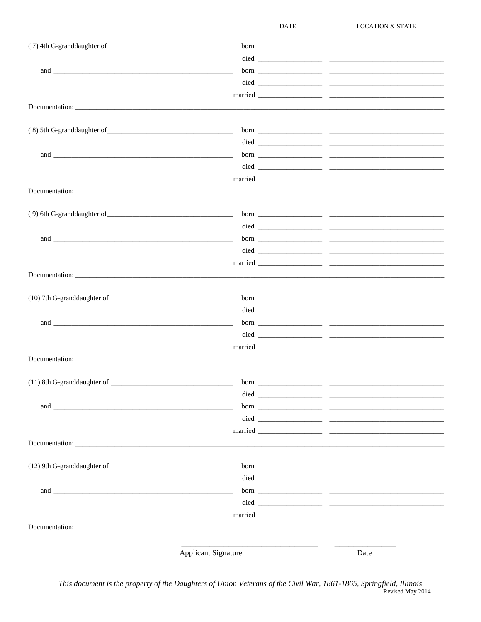**DATE** 

**LOCATION & STATE** 

| and the contract of the contract of the contract of the contract of the contract of the contract of the contract of the contract of the contract of the contract of the contract of the contract of the contract of the contra |                            |      |
|--------------------------------------------------------------------------------------------------------------------------------------------------------------------------------------------------------------------------------|----------------------------|------|
|                                                                                                                                                                                                                                |                            |      |
|                                                                                                                                                                                                                                |                            |      |
|                                                                                                                                                                                                                                | Documentation:             |      |
|                                                                                                                                                                                                                                |                            |      |
|                                                                                                                                                                                                                                |                            |      |
|                                                                                                                                                                                                                                |                            |      |
|                                                                                                                                                                                                                                |                            |      |
|                                                                                                                                                                                                                                |                            |      |
|                                                                                                                                                                                                                                |                            |      |
|                                                                                                                                                                                                                                |                            |      |
|                                                                                                                                                                                                                                |                            |      |
|                                                                                                                                                                                                                                |                            |      |
|                                                                                                                                                                                                                                |                            |      |
|                                                                                                                                                                                                                                |                            |      |
|                                                                                                                                                                                                                                |                            |      |
|                                                                                                                                                                                                                                |                            |      |
| Documentation:                                                                                                                                                                                                                 |                            |      |
|                                                                                                                                                                                                                                |                            |      |
|                                                                                                                                                                                                                                |                            |      |
|                                                                                                                                                                                                                                |                            |      |
|                                                                                                                                                                                                                                |                            |      |
|                                                                                                                                                                                                                                |                            |      |
|                                                                                                                                                                                                                                |                            |      |
|                                                                                                                                                                                                                                | Documentation:             |      |
|                                                                                                                                                                                                                                |                            |      |
|                                                                                                                                                                                                                                | <b>Applicant Signature</b> | Date |

This document is the property of the Daughters of Union Veterans of the Civil War, 1861-1865, Springfield, Illinois Revised May 2014